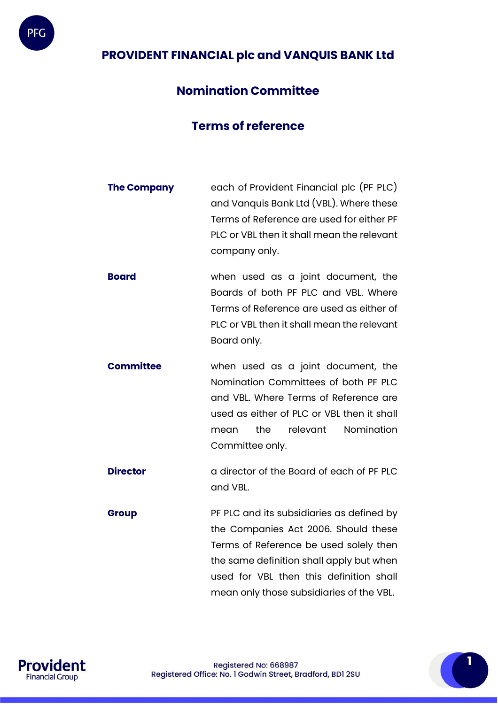

# **PROVIDENT FINANCIAL plc and VANQUIS BANK Ltd**

## **Nomination Committee**

## **Terms of reference**

- **The Company** each of Provident Financial plc (PF PLC) and Vanquis Bank Ltd (VBL). Where these Terms of Reference are used for either PF PLC or VBL then it shall mean the relevant company only.
- **Board** when used as a joint document, the Boards of both PF PLC and VBL. Where Terms of Reference are used as either of PLC or VBL then it shall mean the relevant Board only.
- **Committee** when used as a joint document, the Nomination Committees of both PF PLC and VBL. Where Terms of Reference are used as either of PLC or VBL then it shall mean the relevant Nomination Committee only.
- **Director a** director of the Board of each of PF PLC and VBL.
- **Group PF PLC** and its subsidiaries as defined by the Companies Act 2006. Should these Terms of Reference be used solely then the same definition shall apply but when used for VBL then this definition shall mean only those subsidiaries of the VBL.

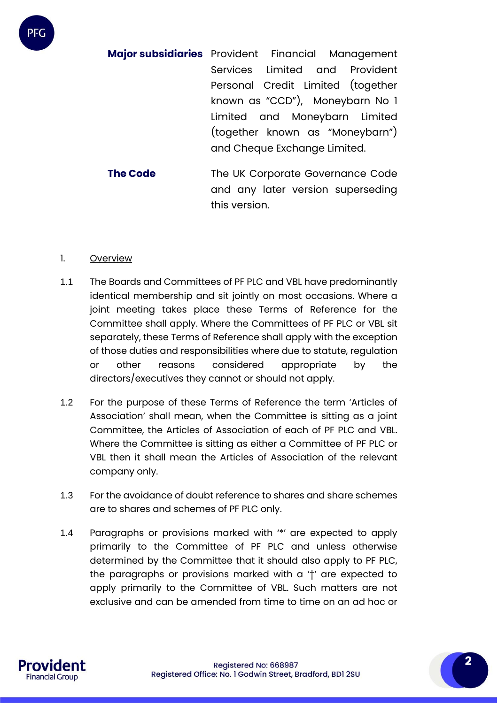**Major subsidiaries** Provident Financial Management Services Limited and Provident Personal Credit Limited (together known as "CCD"), Moneybarn No 1 Limited and Moneybarn Limited (together known as "Moneybarn") and Cheque Exchange Limited.

**The Code** The UK Corporate Governance Code and any later version superseding this version.

#### 1. Overview

PFC

- 1.1 The Boards and Committees of PF PLC and VBL have predominantly identical membership and sit jointly on most occasions. Where a joint meeting takes place these Terms of Reference for the Committee shall apply. Where the Committees of PF PLC or VBL sit separately, these Terms of Reference shall apply with the exception of those duties and responsibilities where due to statute, regulation or other reasons considered appropriate by the directors/executives they cannot or should not apply.
- 1.2 For the purpose of these Terms of Reference the term 'Articles of Association' shall mean, when the Committee is sitting as a joint Committee, the Articles of Association of each of PF PLC and VBL. Where the Committee is sitting as either a Committee of PF PLC or VBL then it shall mean the Articles of Association of the relevant company only.
- 1.3 For the avoidance of doubt reference to shares and share schemes are to shares and schemes of PF PLC only.
- 1.4 Paragraphs or provisions marked with '\*' are expected to apply primarily to the Committee of PF PLC and unless otherwise determined by the Committee that it should also apply to PF PLC, the paragraphs or provisions marked with a '†' are expected to apply primarily to the Committee of VBL. Such matters are not exclusive and can be amended from time to time on an ad hoc or

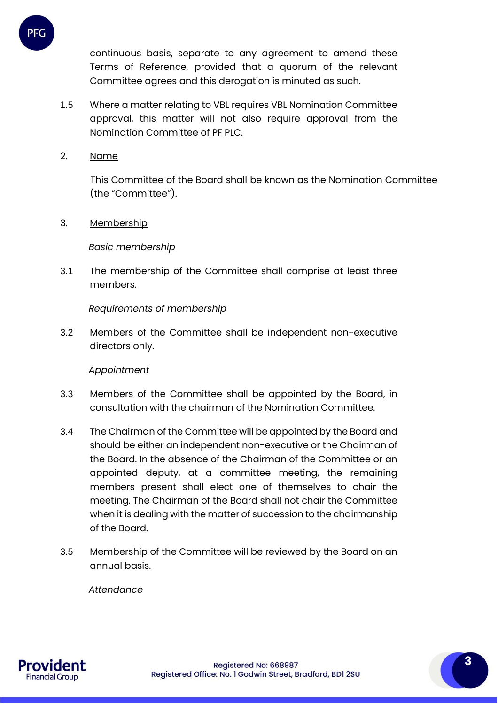continuous basis, separate to any agreement to amend these Terms of Reference, provided that a quorum of the relevant Committee agrees and this derogation is minuted as such.

- 1.5 Where a matter relating to VBL requires VBL Nomination Committee approval, this matter will not also require approval from the Nomination Committee of PF PLC.
- 2. Name

PFC

This Committee of the Board shall be known as the Nomination Committee (the "Committee").

3. Membership

*Basic membership*

3.1 The membership of the Committee shall comprise at least three members.

*Requirements of membership*

3.2 Members of the Committee shall be independent non-executive directors only.

## *Appointment*

- 3.3 Members of the Committee shall be appointed by the Board, in consultation with the chairman of the Nomination Committee.
- 3.4 The Chairman of the Committee will be appointed by the Board and should be either an independent non-executive or the Chairman of the Board. In the absence of the Chairman of the Committee or an appointed deputy, at a committee meeting, the remaining members present shall elect one of themselves to chair the meeting. The Chairman of the Board shall not chair the Committee when it is dealing with the matter of succession to the chairmanship of the Board.
- 3.5 Membership of the Committee will be reviewed by the Board on an annual basis.

*Attendance*

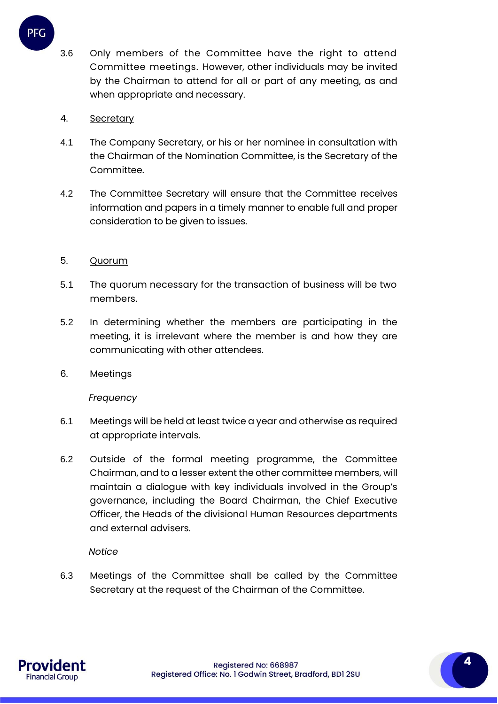3.6 Only members of the Committee have the right to attend Committee meetings. However, other individuals may be invited by the Chairman to attend for all or part of any meeting, as and when appropriate and necessary.

## 4. Secretary

PFG

- 4.1 The Company Secretary, or his or her nominee in consultation with the Chairman of the Nomination Committee, is the Secretary of the Committee.
- 4.2 The Committee Secretary will ensure that the Committee receives information and papers in a timely manner to enable full and proper consideration to be given to issues.

## 5. Quorum

- 5.1 The quorum necessary for the transaction of business will be two members.
- 5.2 In determining whether the members are participating in the meeting, it is irrelevant where the member is and how they are communicating with other attendees.
- 6. Meetings

*Frequency*

- 6.1 Meetings will be held at least twice a year and otherwise as required at appropriate intervals.
- 6.2 Outside of the formal meeting programme, the Committee Chairman, and to a lesser extent the other committee members, will maintain a dialogue with key individuals involved in the Group's governance, including the Board Chairman, the Chief Executive Officer, the Heads of the divisional Human Resources departments and external advisers.

#### *Notice*

6.3 Meetings of the Committee shall be called by the Committee Secretary at the request of the Chairman of the Committee.

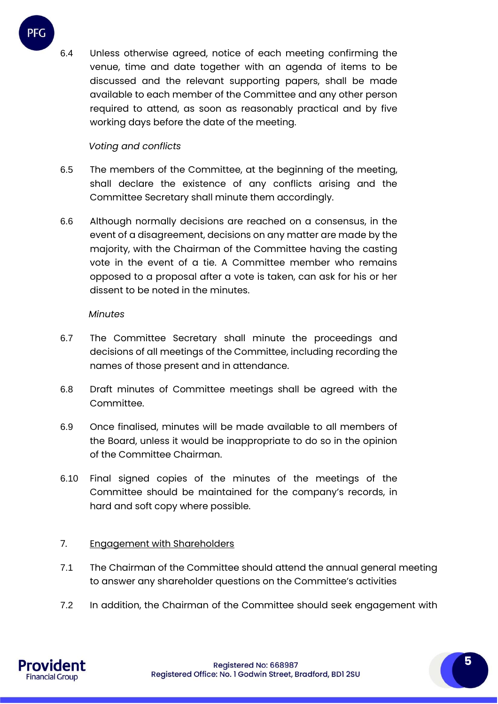6.4 Unless otherwise agreed, notice of each meeting confirming the venue, time and date together with an agenda of items to be discussed and the relevant supporting papers, shall be made available to each member of the Committee and any other person required to attend, as soon as reasonably practical and by five working days before the date of the meeting.

## *Voting and conflicts*

PFG

- 6.5 The members of the Committee, at the beginning of the meeting, shall declare the existence of any conflicts arising and the Committee Secretary shall minute them accordingly.
- 6.6 Although normally decisions are reached on a consensus, in the event of a disagreement, decisions on any matter are made by the majority, with the Chairman of the Committee having the casting vote in the event of a tie. A Committee member who remains opposed to a proposal after a vote is taken, can ask for his or her dissent to be noted in the minutes.

#### *Minutes*

- 6.7 The Committee Secretary shall minute the proceedings and decisions of all meetings of the Committee, including recording the names of those present and in attendance.
- 6.8 Draft minutes of Committee meetings shall be agreed with the Committee.
- 6.9 Once finalised, minutes will be made available to all members of the Board, unless it would be inappropriate to do so in the opinion of the Committee Chairman.
- 6.10 Final signed copies of the minutes of the meetings of the Committee should be maintained for the company's records, in hard and soft copy where possible.

#### 7. Engagement with Shareholders

- 7.1 The Chairman of the Committee should attend the annual general meeting to answer any shareholder questions on the Committee's activities
- 7.2 In addition, the Chairman of the Committee should seek engagement with

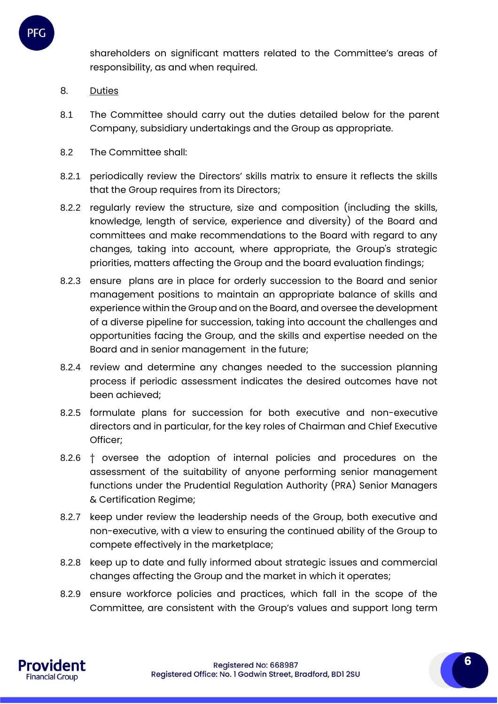shareholders on significant matters related to the Committee's areas of responsibility, as and when required.

8. Duties

PFC

- 8.1 The Committee should carry out the duties detailed below for the parent Company, subsidiary undertakings and the Group as appropriate.
- 8.2 The Committee shall:
- 8.2.1 periodically review the Directors' skills matrix to ensure it reflects the skills that the Group requires from its Directors;
- 8.2.2 regularly review the structure, size and composition (including the skills, knowledge, length of service, experience and diversity) of the Board and committees and make recommendations to the Board with regard to any changes, taking into account, where appropriate, the Group's strategic priorities, matters affecting the Group and the board evaluation findings;
- 8.2.3 ensure plans are in place for orderly succession to the Board and senior management positions to maintain an appropriate balance of skills and experience within the Group and on the Board, and oversee the development of a diverse pipeline for succession, taking into account the challenges and opportunities facing the Group, and the skills and expertise needed on the Board and in senior management in the future;
- 8.2.4 review and determine any changes needed to the succession planning process if periodic assessment indicates the desired outcomes have not been achieved;
- 8.2.5 formulate plans for succession for both executive and non-executive directors and in particular, for the key roles of Chairman and Chief Executive Officer;
- 8.2.6 <sup>†</sup> oversee the adoption of internal policies and procedures on the assessment of the suitability of anyone performing senior management functions under the Prudential Regulation Authority (PRA) Senior Managers & Certification Regime;
- 8.2.7 keep under review the leadership needs of the Group, both executive and non-executive, with a view to ensuring the continued ability of the Group to compete effectively in the marketplace;
- 8.2.8 keep up to date and fully informed about strategic issues and commercial changes affecting the Group and the market in which it operates;
- 8.2.9 ensure workforce policies and practices, which fall in the scope of the Committee, are consistent with the Group's values and support long term

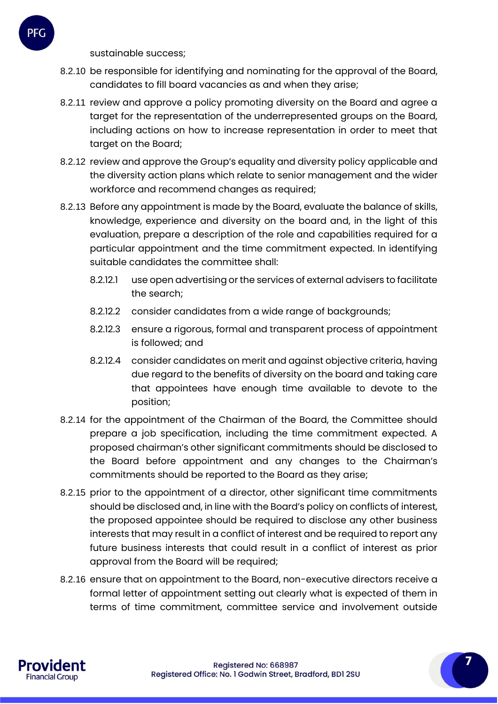- 8.2.10 be responsible for identifying and nominating for the approval of the Board, candidates to fill board vacancies as and when they arise;
- 8.2.11 review and approve a policy promoting diversity on the Board and agree a target for the representation of the underrepresented groups on the Board, including actions on how to increase representation in order to meet that target on the Board;
- 8.2.12 review and approve the Group's equality and diversity policy applicable and the diversity action plans which relate to senior management and the wider workforce and recommend changes as required;
- 8.2.13 Before any appointment is made by the Board, evaluate the balance of skills, knowledge, experience and diversity on the board and, in the light of this evaluation, prepare a description of the role and capabilities required for a particular appointment and the time commitment expected. In identifying suitable candidates the committee shall:
	- 8.2.12.1 use open advertising or the services of external advisers to facilitate the search;
	- 8.2.12.2 consider candidates from a wide range of backgrounds;
	- 8.2.12.3 ensure a rigorous, formal and transparent process of appointment is followed; and
	- 8.2.12.4 consider candidates on merit and against objective criteria, having due regard to the benefits of diversity on the board and taking care that appointees have enough time available to devote to the position;
- 8.2.14 for the appointment of the Chairman of the Board, the Committee should prepare a job specification, including the time commitment expected. A proposed chairman's other significant commitments should be disclosed to the Board before appointment and any changes to the Chairman's commitments should be reported to the Board as they arise;
- 8.2.15 prior to the appointment of a director, other significant time commitments should be disclosed and, in line with the Board's policy on conflicts of interest, the proposed appointee should be required to disclose any other business interests that may result in a conflict of interest and be required to report any future business interests that could result in a conflict of interest as prior approval from the Board will be required;
- 8.2.16 ensure that on appointment to the Board, non-executive directors receive a formal letter of appointment setting out clearly what is expected of them in terms of time commitment, committee service and involvement outside

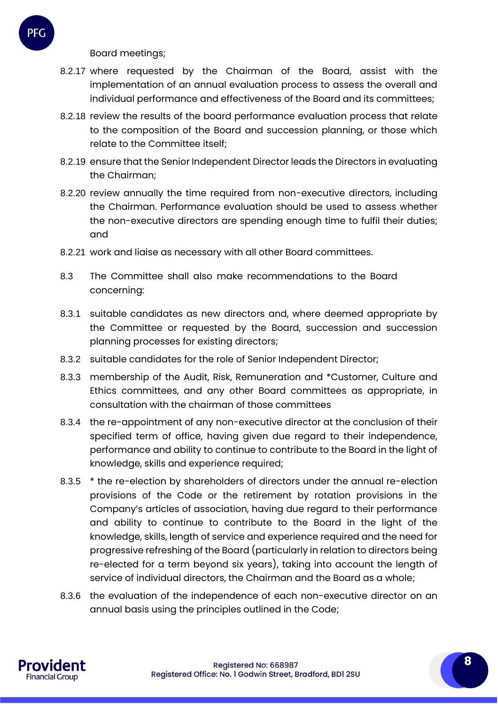Board meetings;

- 8.2.17 where requested by the Chairman of the Board, assist with the implementation of an annual evaluation process to assess the overall and individual performance and effectiveness of the Board and its committees;
- 8.2.18 review the results of the board performance evaluation process that relate to the composition of the Board and succession planning, or those which relate to the Committee itself;
- 8.2.19 ensure that the Senior Independent Director leads the Directors in evaluating the Chairman;
- 8.2.20 review annually the time required from non-executive directors, including the Chairman. Performance evaluation should be used to assess whether the non-executive directors are spending enough time to fulfil their duties; and
- 8.2.21 work and liaise as necessary with all other Board committees.
- 8.3 The Committee shall also make recommendations to the Board concerning:
- 8.3.1 suitable candidates as new directors and, where deemed appropriate by the Committee or requested by the Board, succession and succession planning processes for existing directors;
- 8.3.2 suitable candidates for the role of Senior Independent Director;
- 8.3.3 membership of the Audit, Risk, Remuneration and \*Customer, Culture and Ethics committees, and any other Board committees as appropriate, in consultation with the chairman of those committees
- 8.3.4 the re-appointment of any non-executive director at the conclusion of their specified term of office, having given due regard to their independence, performance and ability to continue to contribute to the Board in the light of knowledge, skills and experience required;
- 8.3.5 \* the re-election by shareholders of directors under the annual re-election provisions of the Code or the retirement by rotation provisions in the Company's articles of association, having due regard to their performance and ability to continue to contribute to the Board in the light of the knowledge, skills, length of service and experience required and the need for progressive refreshing of the Board (particularly in relation to directors being re-elected for a term beyond six years), taking into account the length of service of individual directors, the Chairman and the Board as a whole;
- 8.3.6 the evaluation of the independence of each non-executive director on an annual basis using the principles outlined in the Code;

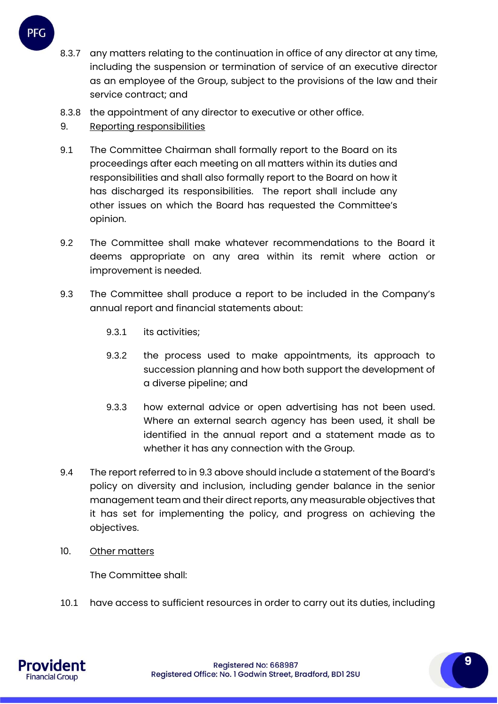- 8.3.7 any matters relating to the continuation in office of any director at any time, including the suspension or termination of service of an executive director as an employee of the Group, subject to the provisions of the law and their service contract; and
- 8.3.8 the appointment of any director to executive or other office.
- 9. Reporting responsibilities
- 9.1 The Committee Chairman shall formally report to the Board on its proceedings after each meeting on all matters within its duties and responsibilities and shall also formally report to the Board on how it has discharged its responsibilities. The report shall include any other issues on which the Board has requested the Committee's opinion.
- 9.2 The Committee shall make whatever recommendations to the Board it deems appropriate on any area within its remit where action or improvement is needed.
- 9.3 The Committee shall produce a report to be included in the Company's annual report and financial statements about:
	- 9.3.1 its activities;
	- 9.3.2 the process used to make appointments, its approach to succession planning and how both support the development of a diverse pipeline; and
	- 9.3.3 how external advice or open advertising has not been used. Where an external search agency has been used, it shall be identified in the annual report and a statement made as to whether it has any connection with the Group.
- 9.4 The report referred to in 9.3 above should include a statement of the Board's policy on diversity and inclusion, including gender balance in the senior management team and their direct reports, any measurable objectives that it has set for implementing the policy, and progress on achieving the objectives.
- 10. Other matters

The Committee shall:

10.1 have access to sufficient resources in order to carry out its duties, including



**9**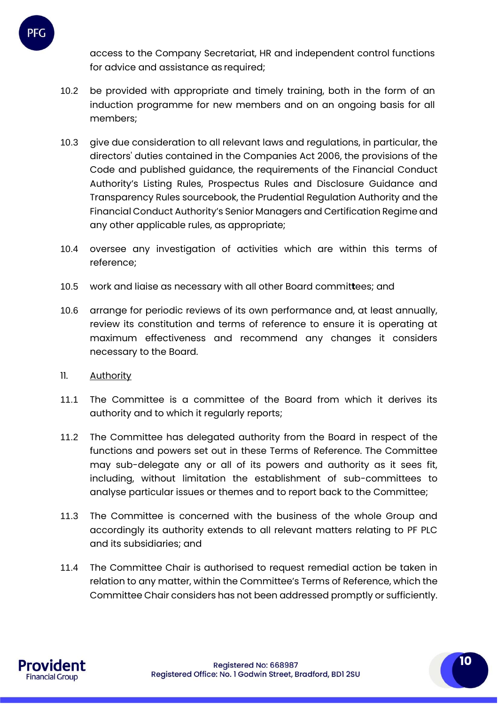access to the Company Secretariat, HR and independent control functions for advice and assistance as required;

- 10.2 be provided with appropriate and timely training, both in the form of an induction programme for new members and on an ongoing basis for all members;
- 10.3 give due consideration to all relevant laws and regulations, in particular, the directors' duties contained in the Companies Act 2006, the provisions of the Code and published guidance, the requirements of the Financial Conduct Authority's Listing Rules, Prospectus Rules and Disclosure Guidance and Transparency Rules sourcebook, the Prudential Regulation Authority and the Financial Conduct Authority's Senior Managers and Certification Regime and any other applicable rules, as appropriate;
- 10.4 oversee any investigation of activities which are within this terms of reference;
- 10.5 work and liaise as necessary with all other Board commit**t**ees; and
- 10.6 arrange for periodic reviews of its own performance and, at least annually, review its constitution and terms of reference to ensure it is operating at maximum effectiveness and recommend any changes it considers necessary to the Board.
- 11. Authority

PFC

- 11.1 The Committee is a committee of the Board from which it derives its authority and to which it regularly reports;
- 11.2 The Committee has delegated authority from the Board in respect of the functions and powers set out in these Terms of Reference. The Committee may sub-delegate any or all of its powers and authority as it sees fit, including, without limitation the establishment of sub-committees to analyse particular issues or themes and to report back to the Committee;
- 11.3 The Committee is concerned with the business of the whole Group and accordingly its authority extends to all relevant matters relating to PF PLC and its subsidiaries; and
- 11.4 The Committee Chair is authorised to request remedial action be taken in relation to any matter, within the Committee's Terms of Reference, which the Committee Chair considers has not been addressed promptly or sufficiently.